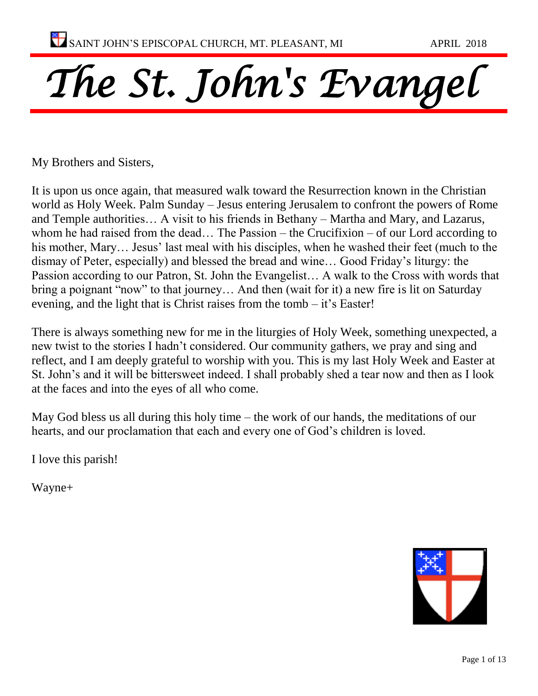# *The St. John's Evangel*

My Brothers and Sisters,

It is upon us once again, that measured walk toward the Resurrection known in the Christian world as Holy Week. Palm Sunday – Jesus entering Jerusalem to confront the powers of Rome and Temple authorities… A visit to his friends in Bethany – Martha and Mary, and Lazarus, whom he had raised from the dead… The Passion – the Crucifixion – of our Lord according to his mother, Mary… Jesus' last meal with his disciples, when he washed their feet (much to the dismay of Peter, especially) and blessed the bread and wine… Good Friday's liturgy: the Passion according to our Patron, St. John the Evangelist… A walk to the Cross with words that bring a poignant "now" to that journey… And then (wait for it) a new fire is lit on Saturday evening, and the light that is Christ raises from the tomb – it's Easter!

There is always something new for me in the liturgies of Holy Week, something unexpected, a new twist to the stories I hadn't considered. Our community gathers, we pray and sing and reflect, and I am deeply grateful to worship with you. This is my last Holy Week and Easter at St. John's and it will be bittersweet indeed. I shall probably shed a tear now and then as I look at the faces and into the eyes of all who come.

May God bless us all during this holy time – the work of our hands, the meditations of our hearts, and our proclamation that each and every one of God's children is loved.

I love this parish!

Wayne+

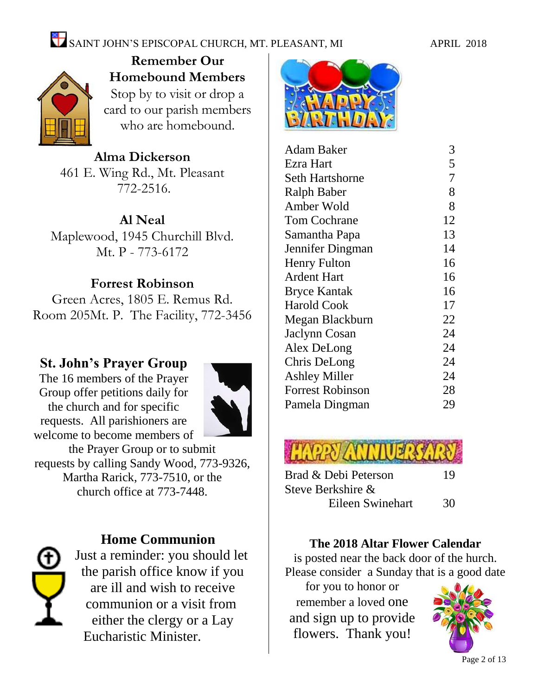## SAINT JOHN'S EPISCOPAL CHURCH, MT. PLEASANT, MI APRIL 2018



**Remember Our Homebound Members** Stop by to visit or drop a card to our parish members who are homebound.

**Alma Dickerson** 461 E. Wing Rd., Mt. Pleasant 772-2516.

#### **Al Neal**

Maplewood, 1945 Churchill Blvd. Mt. P - 773-6172

#### **Forrest Robinson**

Green Acres, 1805 E. Remus Rd. Room 205Mt. P. The Facility, 772-3456

#### **St. John's Prayer Group**

The 16 members of the Prayer Group offer petitions daily for the church and for specific requests. All parishioners are welcome to become members of



the Prayer Group or to submit requests by calling Sandy Wood, 773-9326, Martha Rarick, 773-7510, or the church office at 773-7448.

#### **Home Communion**

Just a reminder: you should let the parish office know if you are ill and wish to receive communion or a visit from either the clergy or a Lay Eucharistic Minister.



| Adam Baker              | 3              |
|-------------------------|----------------|
| Ezra Hart               | 5              |
| <b>Seth Hartshorne</b>  | $\overline{7}$ |
| Ralph Baber             | 8              |
| Amber Wold              | 8              |
| <b>Tom Cochrane</b>     | 12             |
| Samantha Papa           | 13             |
| Jennifer Dingman        | 14             |
| <b>Henry Fulton</b>     | 16             |
| <b>Ardent Hart</b>      | 16             |
| <b>Bryce Kantak</b>     | 16             |
| <b>Harold Cook</b>      | 17             |
| Megan Blackburn         | 22             |
| Jaclynn Cosan           | 24             |
| Alex DeLong             | 24             |
| Chris DeLong            | 24             |
| <b>Ashley Miller</b>    | 24             |
| <b>Forrest Robinson</b> | 28             |
| Pamela Dingman          | 29             |
|                         |                |



| Brad & Debi Peterson | 19 |
|----------------------|----|
| Steve Berkshire &    |    |
| Eileen Swinehart     | 30 |

#### **The 2018 Altar Flower Calendar**

is posted near the back door of the hurch. Please consider a Sunday that is a good date

for you to honor or remember a loved one and sign up to provide flowers. Thank you!

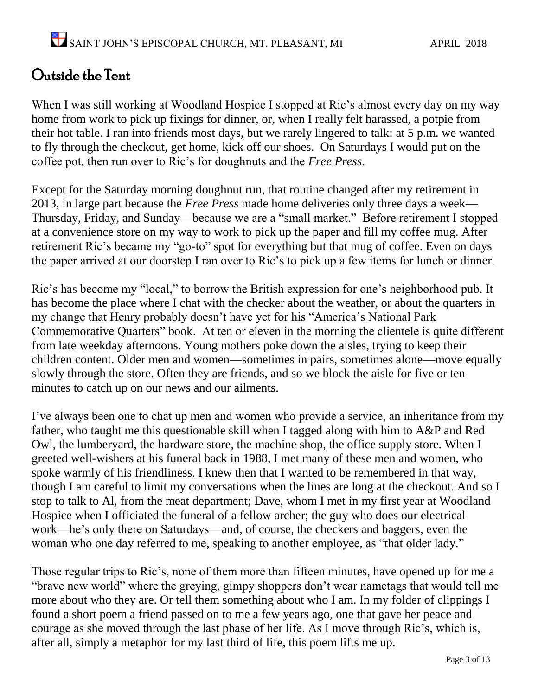## Outside the Tent

When I was still working at Woodland Hospice I stopped at Ric's almost every day on my way home from work to pick up fixings for dinner, or, when I really felt harassed, a potpie from their hot table. I ran into friends most days, but we rarely lingered to talk: at 5 p.m. we wanted to fly through the checkout, get home, kick off our shoes. On Saturdays I would put on the coffee pot, then run over to Ric's for doughnuts and the *Free Press.* 

Except for the Saturday morning doughnut run, that routine changed after my retirement in 2013, in large part because the *Free Press* made home deliveries only three days a week— Thursday, Friday, and Sunday—because we are a "small market." Before retirement I stopped at a convenience store on my way to work to pick up the paper and fill my coffee mug. After retirement Ric's became my "go-to" spot for everything but that mug of coffee. Even on days the paper arrived at our doorstep I ran over to Ric's to pick up a few items for lunch or dinner.

Ric's has become my "local," to borrow the British expression for one's neighborhood pub. It has become the place where I chat with the checker about the weather, or about the quarters in my change that Henry probably doesn't have yet for his "America's National Park Commemorative Quarters" book. At ten or eleven in the morning the clientele is quite different from late weekday afternoons. Young mothers poke down the aisles, trying to keep their children content. Older men and women—sometimes in pairs, sometimes alone—move equally slowly through the store. Often they are friends, and so we block the aisle for five or ten minutes to catch up on our news and our ailments.

I've always been one to chat up men and women who provide a service, an inheritance from my father, who taught me this questionable skill when I tagged along with him to A&P and Red Owl, the lumberyard, the hardware store, the machine shop, the office supply store. When I greeted well-wishers at his funeral back in 1988, I met many of these men and women, who spoke warmly of his friendliness. I knew then that I wanted to be remembered in that way, though I am careful to limit my conversations when the lines are long at the checkout. And so I stop to talk to Al, from the meat department; Dave, whom I met in my first year at Woodland Hospice when I officiated the funeral of a fellow archer; the guy who does our electrical work—he's only there on Saturdays—and, of course, the checkers and baggers, even the woman who one day referred to me, speaking to another employee, as "that older lady."

Those regular trips to Ric's, none of them more than fifteen minutes, have opened up for me a "brave new world" where the greying, gimpy shoppers don't wear nametags that would tell me more about who they are. Or tell them something about who I am. In my folder of clippings I found a short poem a friend passed on to me a few years ago, one that gave her peace and courage as she moved through the last phase of her life. As I move through Ric's, which is, after all, simply a metaphor for my last third of life, this poem lifts me up.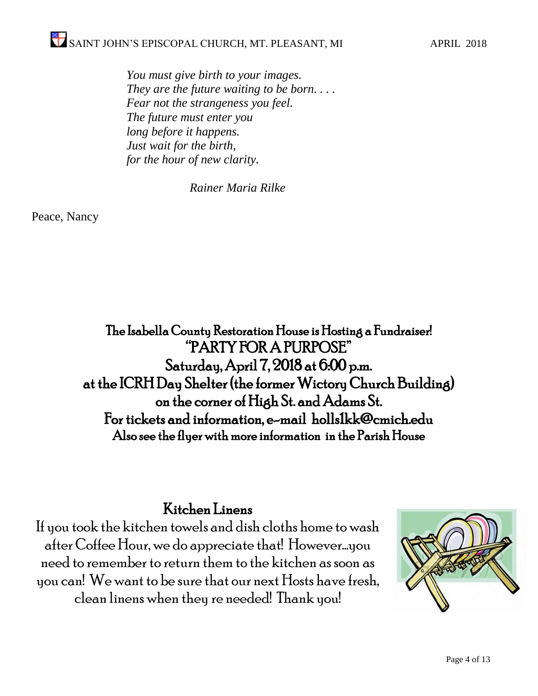*You must give birth to your images. They are the future waiting to be born. . . . Fear not the strangeness you feel. The future must enter you long before it happens. Just wait for the birth, for the hour of new clarity.* 

*Rainer Maria Rilke*

Peace, Nancy

The Isabella County Restoration House is Hosting a Fundraiser! "PARTY FOR A PURPOSE" Saturday, April 7, 2018 at 6:00 p.m. at the ICRH Day Shelter (the former Wictory Church Building) on the corner of High St. and Adams St. For tickets and information, e-mail holls1kk@cmich.edu Also see the flyer with more information in the Parish House

#### Kitchen Linens

If you took the kitchen towels and dish cloths home to wash after Coffee Hour,we do appreciate that! However…you need to remember to return them to the kitchen as soon as you can! We want to be sure that our next Hosts have fresh, clean linens when they re needed! Thank you!

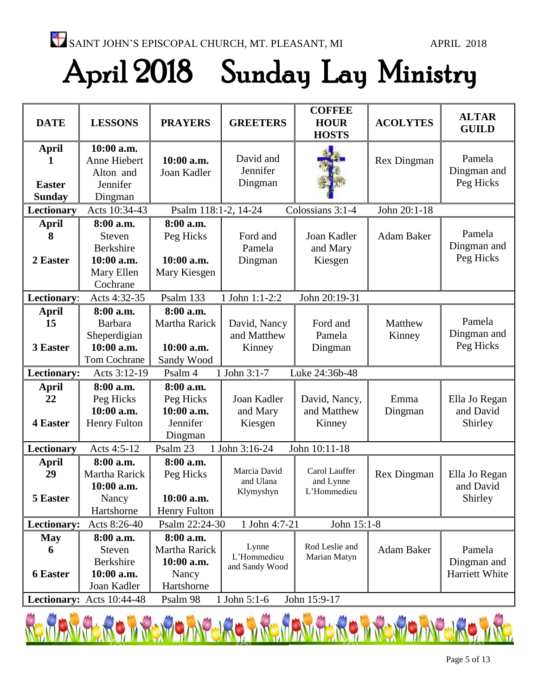## April 2018 Sunday Lay Ministry

| <b>DATE</b>                                    | <b>LESSONS</b>                                                                  | <b>PRAYERS</b>                                                  | <b>GREETERS</b>                        | <b>COFFEE</b><br><b>HOUR</b><br><b>HOSTS</b> | <b>ACOLYTES</b>    | <b>ALTAR</b><br><b>GUILD</b>            |
|------------------------------------------------|---------------------------------------------------------------------------------|-----------------------------------------------------------------|----------------------------------------|----------------------------------------------|--------------------|-----------------------------------------|
| <b>April</b><br><b>Easter</b><br><b>Sunday</b> | 10:00 a.m.<br>Anne Hiebert<br>Alton and<br>Jennifer<br>Dingman                  | 10:00 a.m.<br>Joan Kadler                                       | David and<br>Jennifer<br>Dingman       |                                              | <b>Rex Dingman</b> | Pamela<br>Dingman and<br>Peg Hicks      |
| Lectionary                                     | Acts 10:34-43                                                                   | Psalm 118:1-2, 14-24                                            |                                        | Colossians 3:1-4                             | John 20:1-18       |                                         |
| <b>April</b><br>8<br>2 Easter                  | 8:00 a.m.<br><b>Steven</b><br>Berkshire<br>10:00 a.m.<br>Mary Ellen<br>Cochrane | 8:00 a.m.<br>Peg Hicks<br>10:00 a.m.<br>Mary Kiesgen            | Ford and<br>Pamela<br>Dingman          | Joan Kadler<br>and Mary<br>Kiesgen           | Adam Baker         | Pamela<br>Dingman and<br>Peg Hicks      |
| Lectionary:                                    | Acts 4:32-35                                                                    | Psalm 133                                                       | 1 John 1:1-2:2                         | John 20:19-31                                |                    |                                         |
| <b>April</b><br>15<br>3 Easter                 | 8:00 a.m.<br><b>Barbara</b><br>Sheperdigian<br>10:00 a.m.<br>Tom Cochrane       | 8:00 a.m.<br>Martha Rarick<br>10:00 a.m.<br>Sandy Wood          | David, Nancy<br>and Matthew<br>Kinney  | Ford and<br>Pamela<br>Dingman                | Matthew<br>Kinney  | Pamela<br>Dingman and<br>Peg Hicks      |
| Lectionary:                                    | Acts 3:12-19                                                                    | Psalm 4                                                         | 1 John 3:1-7                           | Luke 24:36b-48                               |                    |                                         |
| <b>April</b><br>22<br>4 Easter                 | 8:00 a.m.<br>Peg Hicks<br>10:00 a.m.<br><b>Henry Fulton</b>                     | 8:00 a.m.<br>Peg Hicks<br>10:00 a.m.<br>Jennifer<br>Dingman     | Joan Kadler<br>and Mary<br>Kiesgen     | David, Nancy,<br>and Matthew<br>Kinney       | Emma<br>Dingman    | Ella Jo Regan<br>and David<br>Shirley   |
| Lectionary                                     | Acts 4:5-12                                                                     | Psalm 23                                                        | 1 John 3:16-24                         | John 10:11-18                                |                    |                                         |
| <b>April</b><br>29<br>5 Easter                 | 8:00 a.m.<br>Martha Rarick<br>10:00 a.m.<br>Nancy<br>Hartshorne                 | 8:00 a.m.<br>Peg Hicks<br>10:00 a.m.<br><b>Henry Fulton</b>     | Marcia David<br>and Ulana<br>Klymyshyn | Carol Lauffer<br>and Lynne<br>L'Hommedieu    | Rex Dingman        | Ella Jo Regan<br>and David<br>Shirley   |
| Lectionary:                                    | Acts 8:26-40                                                                    | Psalm 22:24-30                                                  | 1 John 4:7-21                          | John 15:1-8                                  |                    |                                         |
| <b>May</b><br>6<br><b>6 Easter</b>             | 8:00 a.m.<br>Steven<br>Berkshire<br>10:00 a.m.<br>Joan Kadler                   | 8:00 a.m.<br>Martha Rarick<br>10:00 a.m.<br>Nancy<br>Hartshorne | Lynne<br>L'Hommedieu<br>and Sandy Wood | Rod Leslie and<br>Marian Matyn               | Adam Baker         | Pamela<br>Dingman and<br>Harriett White |
|                                                | Lectionary: Acts 10:44-48                                                       | Psalm 98                                                        | 1 John 5:1-6                           | John 15:9-17                                 |                    |                                         |

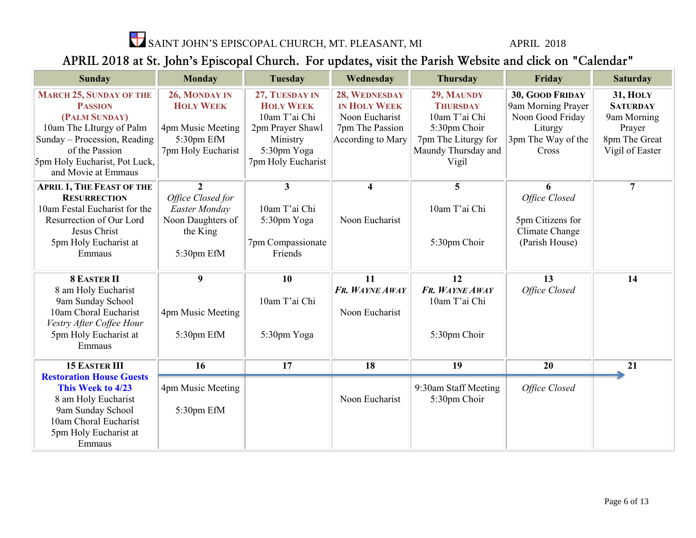

SAINT JOHN'S EPISCOPAL CHURCH, MT. PLEASANT, MI APRIL 2018

#### APRIL 2018 at St. John's Episcopal Church. For updates, visit the Parish Website and click on "Calendar"

| <b>Sunday</b>                                                                                                                                                                                           | <b>Monday</b>                                                                                       | <b>Tuesday</b>                                                                                                           | Wednesday                                                                                      | <b>Thursday</b>                                                                                                       | Friday                                                                                              | <b>Saturday</b>                                                                                 |
|---------------------------------------------------------------------------------------------------------------------------------------------------------------------------------------------------------|-----------------------------------------------------------------------------------------------------|--------------------------------------------------------------------------------------------------------------------------|------------------------------------------------------------------------------------------------|-----------------------------------------------------------------------------------------------------------------------|-----------------------------------------------------------------------------------------------------|-------------------------------------------------------------------------------------------------|
| <b>MARCH 25, SUNDAY OF THE</b><br><b>PASSION</b><br>(PALM SUNDAY)<br>10am The LIturgy of Palm<br>Sunday - Procession, Reading<br>of the Passion<br>5pm Holy Eucharist, Pot Luck,<br>and Movie at Emmaus | 26, MONDAY IN<br><b>HOLY WEEK</b><br>4pm Music Meeting<br>5:30pm EfM<br>7pm Holy Eucharist          | 27, TUESDAY IN<br><b>HOLY WEEK</b><br>10am T'ai Chi<br>2pm Prayer Shawl<br>Ministry<br>5:30pm Yoga<br>7pm Holy Eucharist | 28, WEDNESDAY<br><b>IN HOLY WEEK</b><br>Noon Eucharist<br>7pm The Passion<br>According to Mary | 29, MAUNDY<br><b>THURSDAY</b><br>10am T'ai Chi<br>5:30pm Choir<br>7pm The Liturgy for<br>Maundy Thursday and<br>Vigil | 30, GOOD FRIDAY<br>9am Morning Prayer<br>Noon Good Friday<br>Liturgy<br>3pm The Way of the<br>Cross | <b>31, HOLY</b><br><b>SATURDAY</b><br>9am Morning<br>Prayer<br>8pm The Great<br>Vigil of Easter |
| <b>APRIL 1, THE FEAST OF THE</b><br><b>RESURRECTION</b><br>10am Festal Eucharist for the<br>Resurrection of Our Lord<br>Jesus Christ<br>5pm Holy Eucharist at<br>Emmaus                                 | $\overline{2}$<br>Office Closed for<br>Easter Monday<br>Noon Daughters of<br>the King<br>5:30pm EfM | $\mathbf{3}$<br>10am T'ai Chi<br>5:30pm Yoga<br>7pm Compassionate<br>Friends                                             | $\overline{\mathbf{4}}$<br>Noon Eucharist                                                      | 5<br>10am T'ai Chi<br>5:30pm Choir                                                                                    | 6<br>Office Closed<br>5pm Citizens for<br>Climate Change<br>(Parish House)                          | $\overline{7}$                                                                                  |
| <b>8 EASTER II</b><br>8 am Holy Eucharist<br>9am Sunday School<br>10am Choral Eucharist<br>Vestry After Coffee Hour<br>5pm Holy Eucharist at<br>Emmaus                                                  | 9<br>4pm Music Meeting<br>5:30pm EfM                                                                | 10<br>10am T'ai Chi<br>5:30pm Yoga                                                                                       | 11<br>FR. WAYNE AWAY<br>Noon Eucharist                                                         | 12<br>FR. WAYNE AWAY<br>10am T'ai Chi<br>5:30pm Choir                                                                 | 13<br>Office Closed                                                                                 | 14                                                                                              |
| <b>15 EASTER III</b>                                                                                                                                                                                    | 16                                                                                                  | 17                                                                                                                       | 18                                                                                             | 19                                                                                                                    | 20                                                                                                  | 21                                                                                              |
| <b>Restoration House Guests</b><br>This Week to 4/23<br>8 am Holy Eucharist<br>9am Sunday School<br>10am Choral Eucharist<br>5pm Holy Eucharist at<br>Emmaus                                            | 4pm Music Meeting<br>5:30pm EfM                                                                     |                                                                                                                          | Noon Eucharist                                                                                 | 9:30am Staff Meeting<br>5:30pm Choir                                                                                  | Office Closed                                                                                       |                                                                                                 |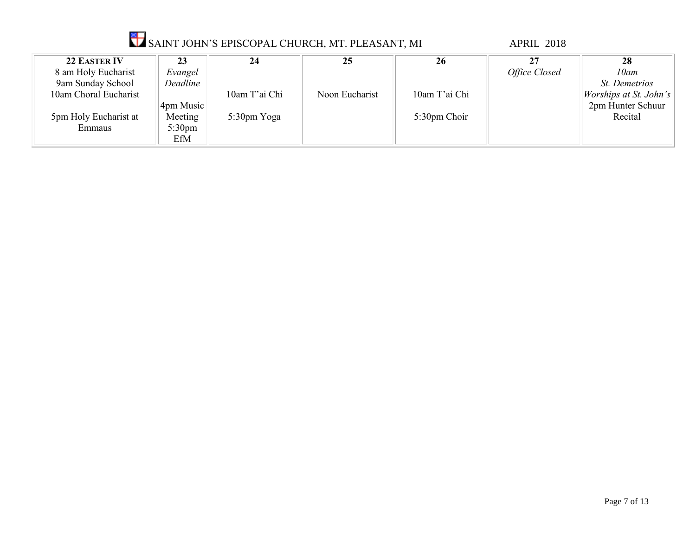|                       |                  |               | <b>V</b> SAINT JOHN'S EPISCOPAL CHURCH, MT. PLEASANT, MI |               | <b>APRIL 2018</b> |                               |
|-----------------------|------------------|---------------|----------------------------------------------------------|---------------|-------------------|-------------------------------|
| <b>22 EASTER IV</b>   | 23               | 24            | 25                                                       | 26            | 27                | 28                            |
| 8 am Holy Eucharist   | Evangel          |               |                                                          |               | Office Closed     | 10am                          |
| 9am Sunday School     | Deadline         |               |                                                          |               |                   | St. Demetrios                 |
| 10am Choral Eucharist |                  | 10am T'ai Chi | Noon Eucharist                                           | 10am T'ai Chi |                   | <i>Worships at St. John's</i> |
|                       | 4pm Music        |               |                                                          |               |                   | 2pm Hunter Schuur             |
| 5pm Holy Eucharist at | Meeting          | 5:30pm Yoga   |                                                          | 5:30pm Choir  |                   | Recital                       |
| Emmaus                | $5:30 \text{pm}$ |               |                                                          |               |                   |                               |
|                       | EfM              |               |                                                          |               |                   |                               |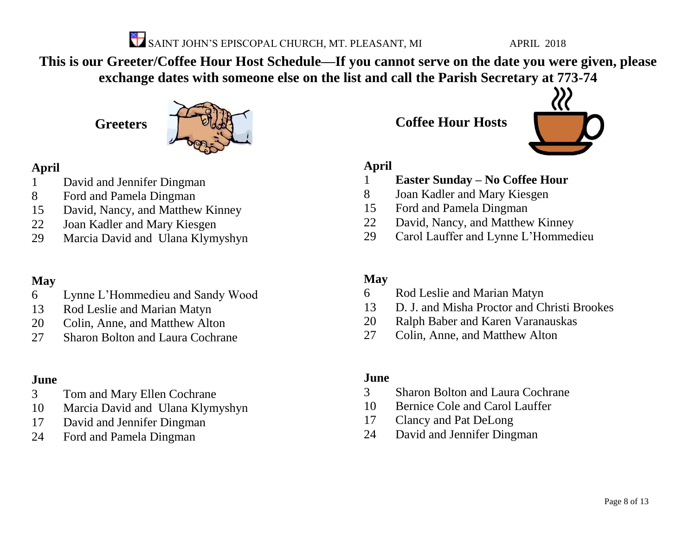

**This is our Greeter/Coffee Hour Host Schedule—If you cannot serve on the date you were given, please exchange dates with someone else on the list and call the Parish Secretary at 773-74**

### **Greeters**



#### **April**

- David and Jennifer Dingman
- Ford and Pamela Dingman
- David, Nancy, and Matthew Kinney
- Joan Kadler and Mary Kiesgen
- Marcia David and Ulana Klymyshyn

#### **May**

- Lynne L'Hommedieu and Sandy Wood
- Rod Leslie and Marian Matyn
- Colin, Anne, and Matthew Alton
- Sharon Bolton and Laura Cochrane

#### **June**

- Tom and Mary Ellen Cochrane
- Marcia David and Ulana Klymyshyn
- David and Jennifer Dingman
- Ford and Pamela Dingman

**Coffee Hour Hosts**



#### **April**

- **Easter Sunday – No Coffee Hour**
- Joan Kadler and Mary Kiesgen
- Ford and Pamela Dingman
- David, Nancy, and Matthew Kinney
- Carol Lauffer and Lynne L'Hommedieu

#### **May**

- Rod Leslie and Marian Matyn
- D. J. and Misha Proctor and Christi Brookes
- Ralph Baber and Karen Varanauskas
- Colin, Anne, and Matthew Alton

#### **June**

- Sharon Bolton and Laura Cochrane
- Bernice Cole and Carol Lauffer
- Clancy and Pat DeLong
- David and Jennifer Dingman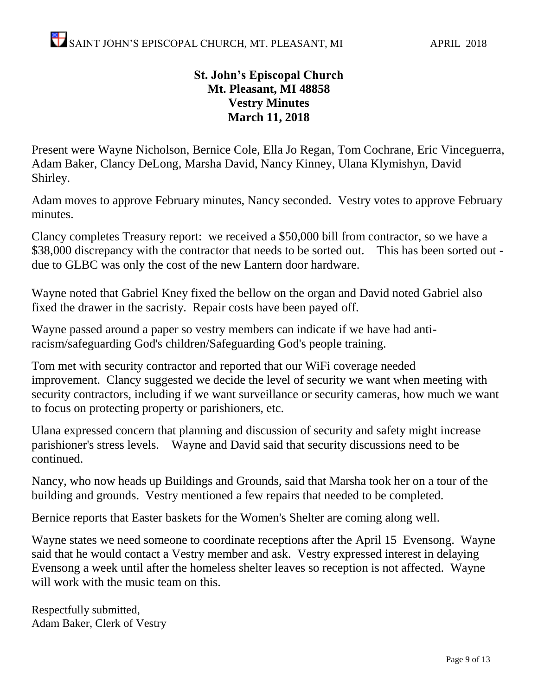#### **St. John's Episcopal Church Mt. Pleasant, MI 48858 Vestry Minutes March 11, 2018**

Present were Wayne Nicholson, Bernice Cole, Ella Jo Regan, Tom Cochrane, Eric Vinceguerra, Adam Baker, Clancy DeLong, Marsha David, Nancy Kinney, Ulana Klymishyn, David Shirley.

Adam moves to approve February minutes, Nancy seconded. Vestry votes to approve February minutes.

Clancy completes Treasury report: we received a \$50,000 bill from contractor, so we have a \$38,000 discrepancy with the contractor that needs to be sorted out. This has been sorted out due to GLBC was only the cost of the new Lantern door hardware.

Wayne noted that Gabriel Kney fixed the bellow on the organ and David noted Gabriel also fixed the drawer in the sacristy. Repair costs have been payed off.

Wayne passed around a paper so vestry members can indicate if we have had antiracism/safeguarding God's children/Safeguarding God's people training.

Tom met with security contractor and reported that our WiFi coverage needed improvement. Clancy suggested we decide the level of security we want when meeting with security contractors, including if we want surveillance or security cameras, how much we want to focus on protecting property or parishioners, etc.

Ulana expressed concern that planning and discussion of security and safety might increase parishioner's stress levels. Wayne and David said that security discussions need to be continued.

Nancy, who now heads up Buildings and Grounds, said that Marsha took her on a tour of the building and grounds. Vestry mentioned a few repairs that needed to be completed.

Bernice reports that Easter baskets for the Women's Shelter are coming along well.

Wayne states we need someone to coordinate receptions after the April 15 Evensong. Wayne said that he would contact a Vestry member and ask. Vestry expressed interest in delaying Evensong a week until after the homeless shelter leaves so reception is not affected. Wayne will work with the music team on this.

Respectfully submitted, Adam Baker, Clerk of Vestry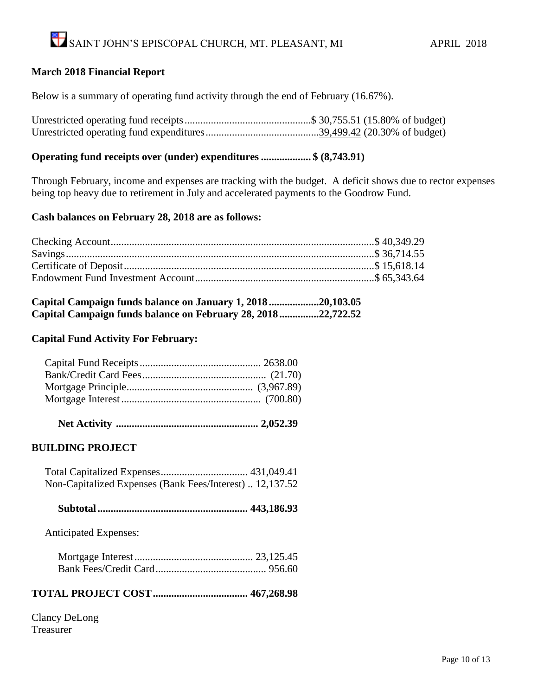#### **March 2018 Financial Report**

Below is a summary of operating fund activity through the end of February (16.67%).

#### **Operating fund receipts over (under) expenditures ................... \$ (8,743.91)**

Through February, income and expenses are tracking with the budget. A deficit shows due to rector expenses being top heavy due to retirement in July and accelerated payments to the Goodrow Fund.

#### **Cash balances on February 28, 2018 are as follows:**

| Capital Campaign funds balance on January 1, 201820,103.05   |  |
|--------------------------------------------------------------|--|
| Capital Campaign funds balance on February 28, 201822,722.52 |  |

#### **Capital Fund Activity For February:**

|--|--|--|--|

#### **BUILDING PROJECT**

| Non-Capitalized Expenses (Bank Fees/Interest)  12,137.52 |  |
|----------------------------------------------------------|--|

|--|--|

Anticipated Expenses:

#### **TOTAL PROJECT COST.................................... 467,268.98**

Clancy DeLong Treasurer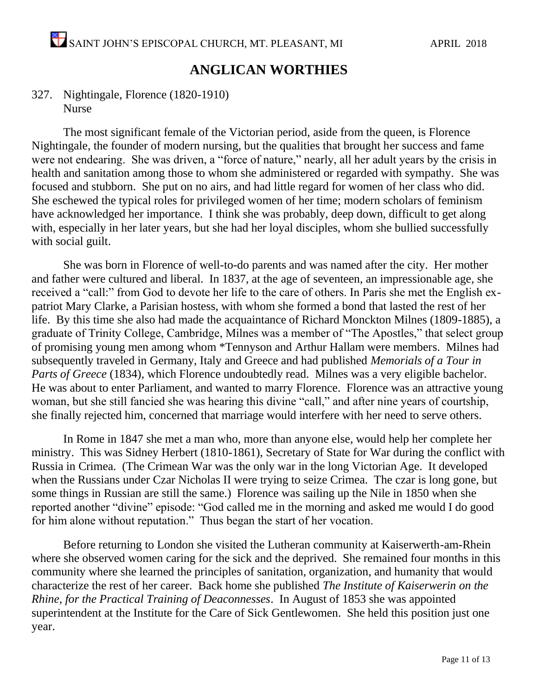#### **ANGLICAN WORTHIES**

#### 327. Nightingale, Florence (1820-1910) Nurse

The most significant female of the Victorian period, aside from the queen, is Florence Nightingale, the founder of modern nursing, but the qualities that brought her success and fame were not endearing. She was driven, a "force of nature," nearly, all her adult years by the crisis in health and sanitation among those to whom she administered or regarded with sympathy. She was focused and stubborn. She put on no airs, and had little regard for women of her class who did. She eschewed the typical roles for privileged women of her time; modern scholars of feminism have acknowledged her importance. I think she was probably, deep down, difficult to get along with, especially in her later years, but she had her loyal disciples, whom she bullied successfully with social guilt.

She was born in Florence of well-to-do parents and was named after the city. Her mother and father were cultured and liberal. In 1837, at the age of seventeen, an impressionable age, she received a "call:" from God to devote her life to the care of others. In Paris she met the English expatriot Mary Clarke, a Parisian hostess, with whom she formed a bond that lasted the rest of her life. By this time she also had made the acquaintance of Richard Monckton Milnes (1809-1885), a graduate of Trinity College, Cambridge, Milnes was a member of "The Apostles," that select group of promising young men among whom \*Tennyson and Arthur Hallam were members. Milnes had subsequently traveled in Germany, Italy and Greece and had published *Memorials of a Tour in Parts of Greece* (1834), which Florence undoubtedly read. Milnes was a very eligible bachelor. He was about to enter Parliament, and wanted to marry Florence. Florence was an attractive young woman, but she still fancied she was hearing this divine "call," and after nine years of courtship, she finally rejected him, concerned that marriage would interfere with her need to serve others.

In Rome in 1847 she met a man who, more than anyone else, would help her complete her ministry. This was Sidney Herbert (1810-1861), Secretary of State for War during the conflict with Russia in Crimea. (The Crimean War was the only war in the long Victorian Age. It developed when the Russians under Czar Nicholas II were trying to seize Crimea. The czar is long gone, but some things in Russian are still the same.) Florence was sailing up the Nile in 1850 when she reported another "divine" episode: "God called me in the morning and asked me would I do good for him alone without reputation." Thus began the start of her vocation.

Before returning to London she visited the Lutheran community at Kaiserwerth-am-Rhein where she observed women caring for the sick and the deprived. She remained four months in this community where she learned the principles of sanitation, organization, and humanity that would characterize the rest of her career. Back home she published *The Institute of Kaiserwerin on the Rhine, for the Practical Training of Deaconnesses*. In August of 1853 she was appointed superintendent at the Institute for the Care of Sick Gentlewomen. She held this position just one year.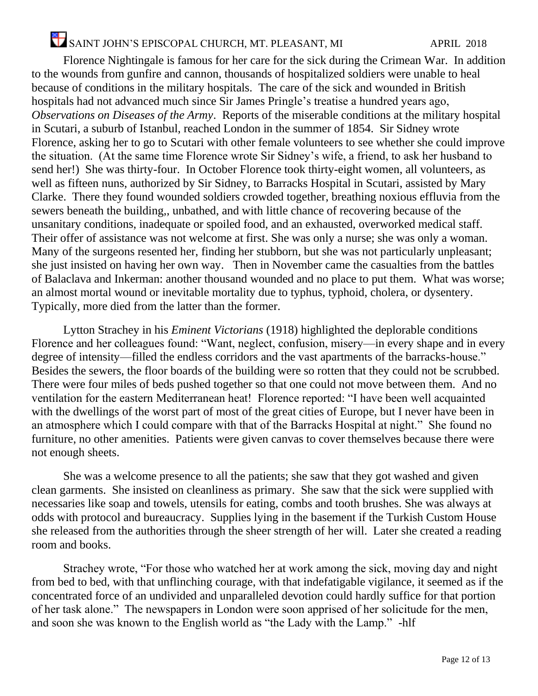## SAINT JOHN'S EPISCOPAL CHURCH, MT. PLEASANT, MI APRIL 2018

Florence Nightingale is famous for her care for the sick during the Crimean War. In addition to the wounds from gunfire and cannon, thousands of hospitalized soldiers were unable to heal because of conditions in the military hospitals. The care of the sick and wounded in British hospitals had not advanced much since Sir James Pringle's treatise a hundred years ago, *Observations on Diseases of the Army*. Reports of the miserable conditions at the military hospital in Scutari, a suburb of Istanbul, reached London in the summer of 1854. Sir Sidney wrote Florence, asking her to go to Scutari with other female volunteers to see whether she could improve the situation. (At the same time Florence wrote Sir Sidney's wife, a friend, to ask her husband to send her!) She was thirty-four. In October Florence took thirty-eight women, all volunteers, as well as fifteen nuns, authorized by Sir Sidney, to Barracks Hospital in Scutari, assisted by Mary Clarke. There they found wounded soldiers crowded together, breathing noxious effluvia from the sewers beneath the building,, unbathed, and with little chance of recovering because of the unsanitary conditions, inadequate or spoiled food, and an exhausted, overworked medical staff. Their offer of assistance was not welcome at first. She was only a nurse; she was only a woman. Many of the surgeons resented her, finding her stubborn, but she was not particularly unpleasant; she just insisted on having her own way. Then in November came the casualties from the battles of Balaclava and Inkerman: another thousand wounded and no place to put them. What was worse; an almost mortal wound or inevitable mortality due to typhus, typhoid, cholera, or dysentery. Typically, more died from the latter than the former.

Lytton Strachey in his *Eminent Victorians* (1918) highlighted the deplorable conditions Florence and her colleagues found: "Want, neglect, confusion, misery—in every shape and in every degree of intensity—filled the endless corridors and the vast apartments of the barracks-house." Besides the sewers, the floor boards of the building were so rotten that they could not be scrubbed. There were four miles of beds pushed together so that one could not move between them. And no ventilation for the eastern Mediterranean heat! Florence reported: "I have been well acquainted with the dwellings of the worst part of most of the great cities of Europe, but I never have been in an atmosphere which I could compare with that of the Barracks Hospital at night." She found no furniture, no other amenities. Patients were given canvas to cover themselves because there were not enough sheets.

She was a welcome presence to all the patients; she saw that they got washed and given clean garments. She insisted on cleanliness as primary. She saw that the sick were supplied with necessaries like soap and towels, utensils for eating, combs and tooth brushes. She was always at odds with protocol and bureaucracy. Supplies lying in the basement if the Turkish Custom House she released from the authorities through the sheer strength of her will. Later she created a reading room and books.

Strachey wrote, "For those who watched her at work among the sick, moving day and night from bed to bed, with that unflinching courage, with that indefatigable vigilance, it seemed as if the concentrated force of an undivided and unparalleled devotion could hardly suffice for that portion of her task alone." The newspapers in London were soon apprised of her solicitude for the men, and soon she was known to the English world as "the Lady with the Lamp." -hlf